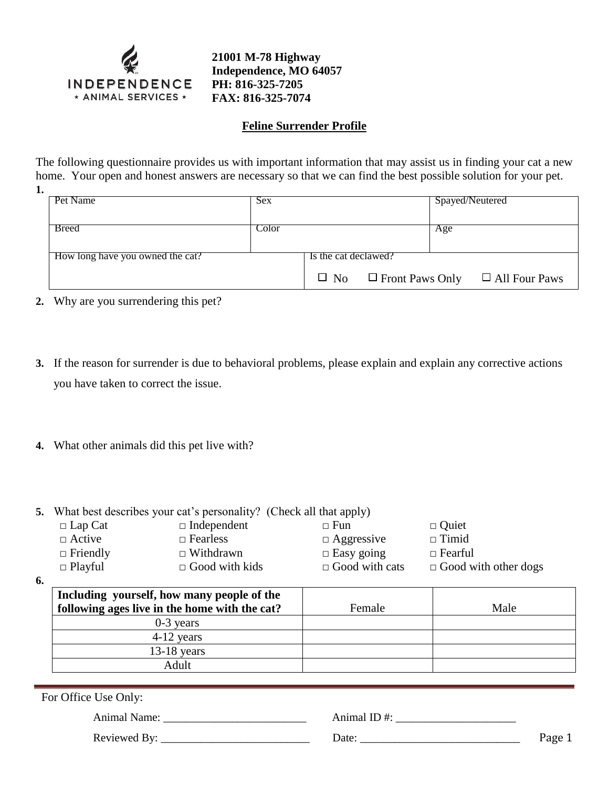

**21001 M-78 Highway Independence, MO 64057 PH: 816-325-7205 FAX: 816-325-7074**

## **Feline Surrender Profile**

The following questionnaire provides us with important information that may assist us in finding your cat a new home. Your open and honest answers are necessary so that we can find the best possible solution for your pet. **1.**

| Pet Name                         | <b>Sex</b> |                      | Spayed/Neutered |                                                       |
|----------------------------------|------------|----------------------|-----------------|-------------------------------------------------------|
| <b>Breed</b>                     | Color      |                      | Age             |                                                       |
| How long have you owned the cat? |            | Is the cat declawed? |                 |                                                       |
|                                  |            |                      |                 | $\Box$ No $\Box$ Front Paws Only $\Box$ All Four Paws |

- **2.** Why are you surrendering this pet?
- **3.** If the reason for surrender is due to behavioral problems, please explain and explain any corrective actions you have taken to correct the issue.
- **4.** What other animals did this pet live with?
- **5.** What best describes your cat's personality? (Check all that apply)

| $\Box$ Independent    | $\Box$ Fun            | $\Box$ Quiet                |
|-----------------------|-----------------------|-----------------------------|
| $\Box$ Fearless       | $\Box$ Aggressive     | $\Box$ Timid                |
| $\Box$ Withdrawn      | $\Box$ Easy going     | $\Box$ Fearful              |
| $\Box$ Good with kids | $\Box$ Good with cats | $\Box$ Good with other dogs |
|                       |                       |                             |

**6.**

| Including yourself, how many people of the<br>following ages live in the home with the cat? | Female | Male |
|---------------------------------------------------------------------------------------------|--------|------|
| $0-3$ years                                                                                 |        |      |
| $4-12$ years                                                                                |        |      |
| $13-18$ years                                                                               |        |      |
| Adult                                                                                       |        |      |

For Office Use Only:

Animal Name:  $\Delta$  Animal ID #:

Reviewed By: \_\_\_\_\_\_\_\_\_\_\_\_\_\_\_\_\_\_\_\_\_\_\_\_\_\_ Date: \_\_\_\_\_\_\_\_\_\_\_\_\_\_\_\_\_\_\_\_\_\_\_\_\_\_\_\_ Page 1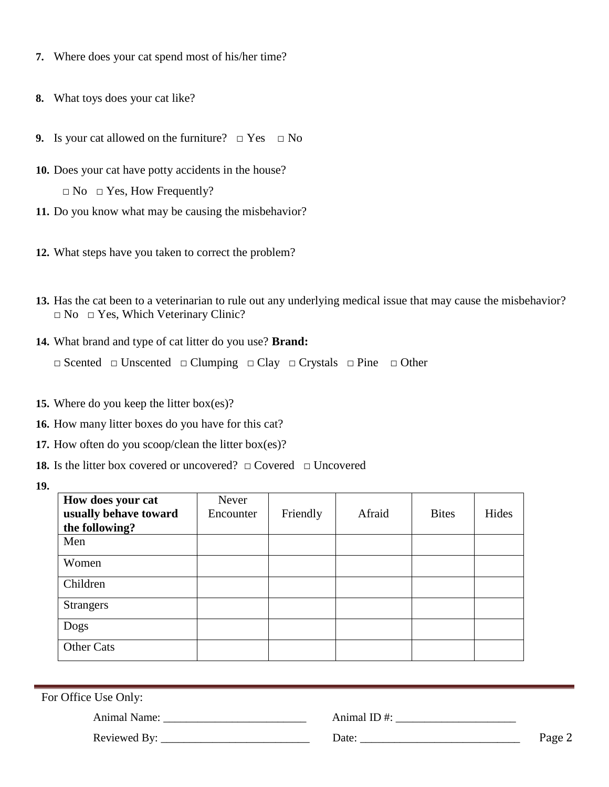- **7.** Where does your cat spend most of his/her time?
- **8.** What toys does your cat like?
- **9.** Is your cat allowed on the furniture?  $\Box$  Yes  $\Box$  No
- **10.** Does your cat have potty accidents in the house?  $\Box$  No  $\Box$  Yes, How Frequently?
- **11.** Do you know what may be causing the misbehavior?
- **12.** What steps have you taken to correct the problem?
- **13.** Has the cat been to a veterinarian to rule out any underlying medical issue that may cause the misbehavior? □ No □ Yes, Which Veterinary Clinic?
- **14.** What brand and type of cat litter do you use? **Brand:**  □ Scented □ Unscented □ Clumping □ Clay □ Crystals □ Pine □ Other
- **15.** Where do you keep the litter box(es)?
- **16.** How many litter boxes do you have for this cat?
- **17.** How often do you scoop/clean the litter box(es)?
- **18.** Is the litter box covered or uncovered?  $\Box$  Covered  $\Box$  Uncovered
- **19.**

| How does your cat     | Never     |          |        |              |       |
|-----------------------|-----------|----------|--------|--------------|-------|
| usually behave toward | Encounter | Friendly | Afraid | <b>Bites</b> | Hides |
| the following?        |           |          |        |              |       |
| Men                   |           |          |        |              |       |
| Women                 |           |          |        |              |       |
| Children              |           |          |        |              |       |
| <b>Strangers</b>      |           |          |        |              |       |
| Dogs                  |           |          |        |              |       |
| Other Cats            |           |          |        |              |       |

| For Office Use Only: |                 |        |
|----------------------|-----------------|--------|
| <b>Animal Name:</b>  | Animal ID $#$ : |        |
| Reviewed By:         | Date:           | Page 2 |
|                      |                 |        |